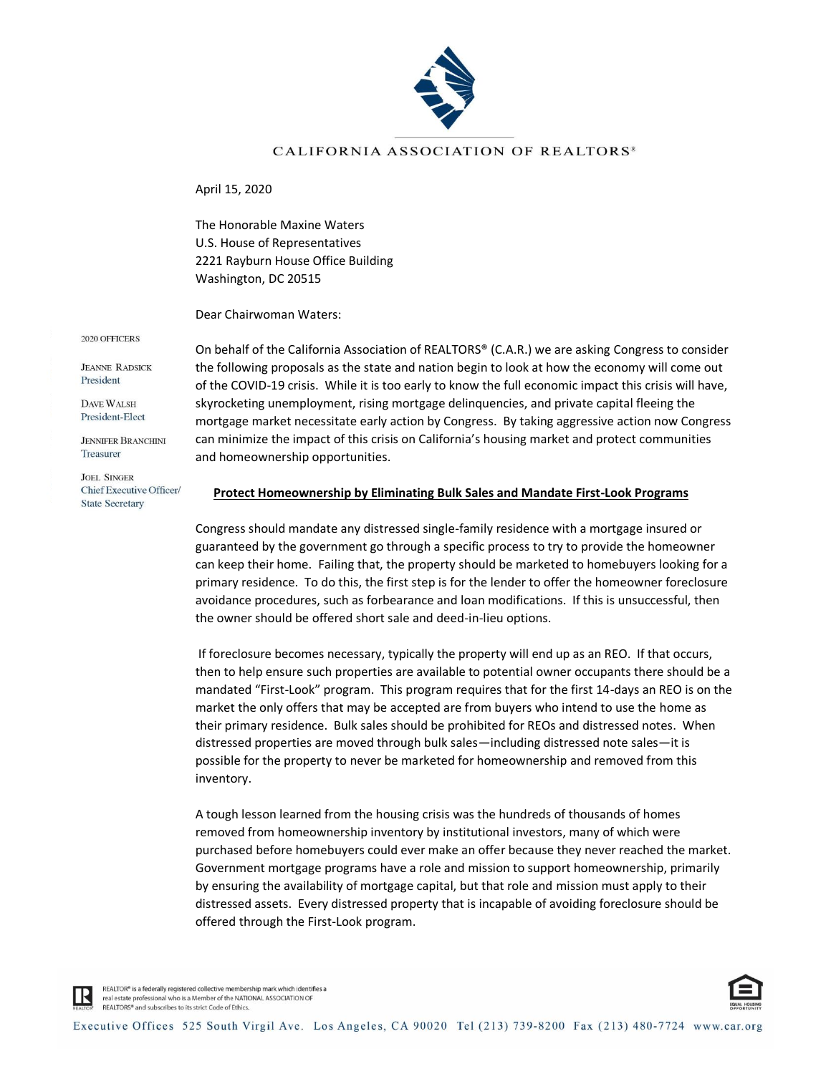

## CALIFORNIA ASSOCIATION OF REALTORS<sup>®</sup>

April 15, 2020

The Honorable Maxine Waters U.S. House of Representatives 2221 Rayburn House Office Building Washington, DC 20515

Dear Chairwoman Waters:

2020 OFFICERS

**JEANNE RADSICK** President

DAVE WALSH President-Elect

**JENNIFER BRANCHINI** Treasurer

**JOEL SINGER** Chief Executive Officer/ **State Secretary** 

On behalf of the California Association of REALTORS® (C.A.R.) we are asking Congress to consider the following proposals as the state and nation begin to look at how the economy will come out of the COVID-19 crisis. While it is too early to know the full economic impact this crisis will have, skyrocketing unemployment, rising mortgage delinquencies, and private capital fleeing the mortgage market necessitate early action by Congress. By taking aggressive action now Congress can minimize the impact of this crisis on California's housing market and protect communities and homeownership opportunities.

## **Protect Homeownership by Eliminating Bulk Sales and Mandate First-Look Programs**

Congress should mandate any distressed single-family residence with a mortgage insured or guaranteed by the government go through a specific process to try to provide the homeowner can keep their home. Failing that, the property should be marketed to homebuyers looking for a primary residence. To do this, the first step is for the lender to offer the homeowner foreclosure avoidance procedures, such as forbearance and loan modifications. If this is unsuccessful, then the owner should be offered short sale and deed-in-lieu options.

If foreclosure becomes necessary, typically the property will end up as an REO. If that occurs, then to help ensure such properties are available to potential owner occupants there should be a mandated "First-Look" program. This program requires that for the first 14-days an REO is on the market the only offers that may be accepted are from buyers who intend to use the home as their primary residence. Bulk sales should be prohibited for REOs and distressed notes. When distressed properties are moved through bulk sales—including distressed note sales—it is possible for the property to never be marketed for homeownership and removed from this inventory.

A tough lesson learned from the housing crisis was the hundreds of thousands of homes removed from homeownership inventory by institutional investors, many of which were purchased before homebuyers could ever make an offer because they never reached the market. Government mortgage programs have a role and mission to support homeownership, primarily by ensuring the availability of mortgage capital, but that role and mission must apply to their distressed assets. Every distressed property that is incapable of avoiding foreclosure should be offered through the First-Look program.



REALTOR® is a federally registered collective membership mark which identifies a real estate professional who is a Member of the NATIONAL ASSOCIATION OF REALTORS® and subscribes to its strict Code of Ethics